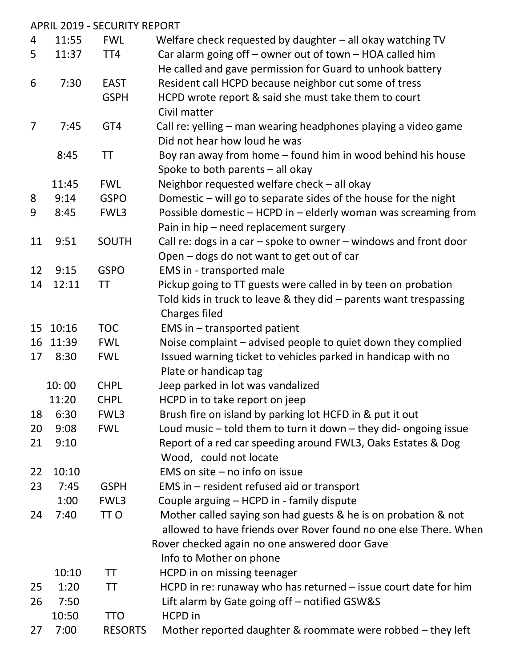|                |       | <b>APRIL 2019 - SECURITY REPORT</b> |                                                                      |
|----------------|-------|-------------------------------------|----------------------------------------------------------------------|
| 4              | 11:55 | <b>FWL</b>                          | Welfare check requested by daughter $-$ all okay watching TV         |
| 5              | 11:37 | TT <sub>4</sub>                     | Car alarm going off - owner out of town - HOA called him             |
|                |       |                                     | He called and gave permission for Guard to unhook battery            |
| 6              | 7:30  | <b>EAST</b>                         | Resident call HCPD because neighbor cut some of tress                |
|                |       | <b>GSPH</b>                         | HCPD wrote report & said she must take them to court                 |
|                |       |                                     | Civil matter                                                         |
| $\overline{7}$ | 7:45  | GT4                                 | Call re: yelling - man wearing headphones playing a video game       |
|                |       |                                     | Did not hear how loud he was                                         |
|                | 8:45  | TT                                  | Boy ran away from home - found him in wood behind his house          |
|                |       |                                     | Spoke to both parents - all okay                                     |
|                | 11:45 | <b>FWL</b>                          | Neighbor requested welfare check $-$ all okay                        |
| 8              | 9:14  | <b>GSPO</b>                         | Domestic - will go to separate sides of the house for the night      |
| 9              | 8:45  | FWL3                                | Possible domestic - HCPD in - elderly woman was screaming from       |
|                |       |                                     | Pain in hip - need replacement surgery                               |
| 11             | 9:51  | <b>SOUTH</b>                        | Call re: dogs in a car $-$ spoke to owner $-$ windows and front door |
|                |       |                                     | Open – dogs do not want to get out of car                            |
| 12             | 9:15  | <b>GSPO</b>                         | EMS in - transported male                                            |
| 14             | 12:11 | ΤT                                  | Pickup going to TT guests were called in by teen on probation        |
|                |       |                                     | Told kids in truck to leave & they did - parents want trespassing    |
|                |       |                                     | Charges filed                                                        |
| 15             | 10:16 | <b>TOC</b>                          | EMS in $-$ transported patient                                       |
| 16             | 11:39 | <b>FWL</b>                          | Noise complaint – advised people to quiet down they complied         |
| 17             | 8:30  | <b>FWL</b>                          | Issued warning ticket to vehicles parked in handicap with no         |
|                |       |                                     | Plate or handicap tag                                                |
|                | 10:00 | <b>CHPL</b>                         | Jeep parked in lot was vandalized                                    |
|                | 11:20 | <b>CHPL</b>                         | HCPD in to take report on jeep                                       |
| 18             | 6:30  | FWL3                                | Brush fire on island by parking lot HCFD in & put it out             |
| 20             | 9:08  | <b>FWL</b>                          | Loud music $-$ told them to turn it down $-$ they did-ongoing issue  |
| 21             | 9:10  |                                     | Report of a red car speeding around FWL3, Oaks Estates & Dog         |
|                |       |                                     | Wood, could not locate                                               |
| 22             | 10:10 |                                     | EMS on site $-$ no info on issue                                     |
| 23             | 7:45  | <b>GSPH</b>                         | EMS in – resident refused aid or transport                           |
|                | 1:00  | FWL3                                | Couple arguing - HCPD in - family dispute                            |
| 24             | 7:40  | TT <sub>O</sub>                     | Mother called saying son had guests & he is on probation & not       |
|                |       |                                     | allowed to have friends over Rover found no one else There. When     |
|                |       |                                     | Rover checked again no one answered door Gave                        |
|                |       |                                     | Info to Mother on phone                                              |
|                | 10:10 | TT                                  | HCPD in on missing teenager                                          |
| 25             | 1:20  | TT                                  | HCPD in re: runaway who has returned $-$ issue court date for him    |
| 26             | 7:50  |                                     | Lift alarm by Gate going off – notified GSW&S                        |
|                | 10:50 | <b>TTO</b>                          | <b>HCPD</b> in                                                       |
| 27             | 7:00  | <b>RESORTS</b>                      | Mother reported daughter & roommate were robbed – they left          |
|                |       |                                     |                                                                      |